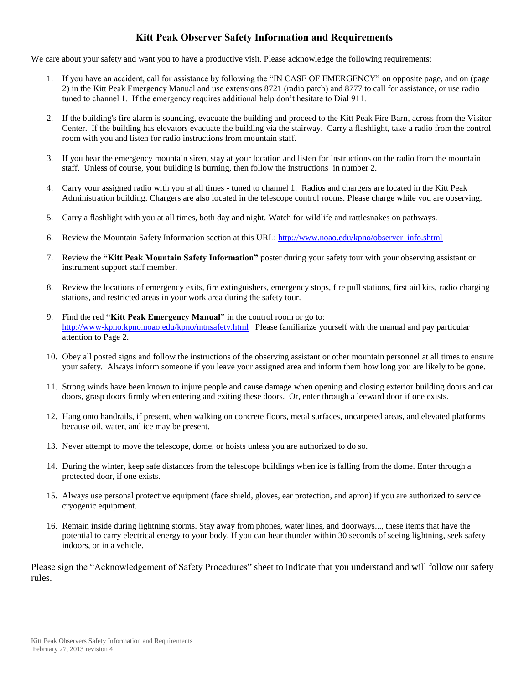#### **Kitt Peak Observer Safety Information and Requirements**

We care about your safety and want you to have a productive visit. Please acknowledge the following requirements:

- 1. If you have an accident, call for assistance by following the "IN CASE OF EMERGENCY" on opposite page, and on (page 2) in the Kitt Peak Emergency Manual and use extensions 8721 (radio patch) and 8777 to call for assistance, or use radio tuned to channel 1. If the emergency requires additional help don't hesitate to Dial 911.
- 2. If the building's fire alarm is sounding, evacuate the building and proceed to the Kitt Peak Fire Barn, across from the Visitor Center. If the building has elevators evacuate the building via the stairway. Carry a flashlight, take a radio from the control room with you and listen for radio instructions from mountain staff.
- 3. If you hear the emergency mountain siren, stay at your location and listen for instructions on the radio from the mountain staff. Unless of course, your building is burning, then follow the instructions in number 2.
- 4. Carry your assigned radio with you at all times tuned to channel 1. Radios and chargers are located in the Kitt Peak Administration building. Chargers are also located in the telescope control rooms. Please charge while you are observing.
- 5. Carry a flashlight with you at all times, both day and night. Watch for wildlife and rattlesnakes on pathways.
- 6. Review the Mountain Safety Information section at this URL: [http://www.noao.edu/kpno/observer\\_info.shtml](http://www.noao.edu/kpno/observer_info.shtml)
- 7. Review the **"Kitt Peak Mountain Safety Information"** poster during your safety tour with your observing assistant or instrument support staff member.
- 8. Review the locations of emergency exits, fire extinguishers, emergency stops, fire pull stations, first aid kits, radio charging stations, and restricted areas in your work area during the safety tour.
- 9. Find the red **"Kitt Peak Emergency Manual"** in the control room or go to: http://www-kpno.kpno.noao.edu/kpno/mtnsafety.html Please familiarize yourself with the manual and pay particular attention to Page 2.
- 10. Obey all posted signs and follow the instructions of the observing assistant or other mountain personnel at all times to ensure your safety. Always inform someone if you leave your assigned area and inform them how long you are likely to be gone.
- 11. Strong winds have been known to injure people and cause damage when opening and closing exterior building doors and car doors, grasp doors firmly when entering and exiting these doors. Or, enter through a leeward door if one exists.
- 12. Hang onto handrails, if present, when walking on concrete floors, metal surfaces, uncarpeted areas, and elevated platforms because oil, water, and ice may be present.
- 13. Never attempt to move the telescope, dome, or hoists unless you are authorized to do so.
- 14. During the winter, keep safe distances from the telescope buildings when ice is falling from the dome. Enter through a protected door, if one exists.
- 15. Always use personal protective equipment (face shield, gloves, ear protection, and apron) if you are authorized to service cryogenic equipment.
- 16. Remain inside during lightning storms. Stay away from phones, water lines, and doorways..., these items that have the potential to carry electrical energy to your body. If you can hear thunder within 30 seconds of seeing lightning, seek safety indoors, or in a vehicle.

Please sign the "Acknowledgement of Safety Procedures" sheet to indicate that you understand and will follow our safety rules.